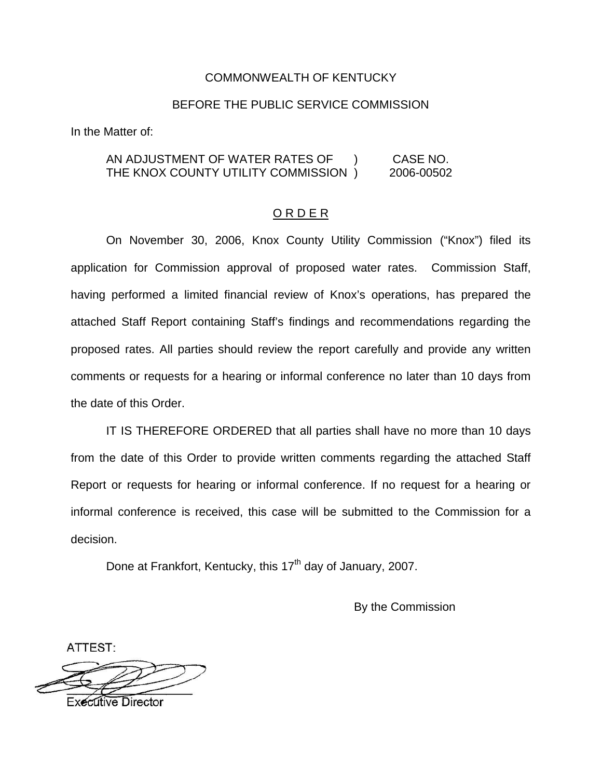#### COMMONWEALTH OF KENTUCKY

#### BEFORE THE PUBLIC SERVICE COMMISSION

In the Matter of:

AN ADJUSTMENT OF WATER RATES OF ) CASE NO. THE KNOX COUNTY UTILITY COMMISSION ) 2006-00502

#### O R D E R

On November 30, 2006, Knox County Utility Commission ("Knox") filed its application for Commission approval of proposed water rates. Commission Staff, having performed a limited financial review of Knox's operations, has prepared the attached Staff Report containing Staff's findings and recommendations regarding the proposed rates. All parties should review the report carefully and provide any written comments or requests for a hearing or informal conference no later than 10 days from the date of this Order.

IT IS THEREFORE ORDERED that all parties shall have no more than 10 days from the date of this Order to provide written comments regarding the attached Staff Report or requests for hearing or informal conference. If no request for a hearing or informal conference is received, this case will be submitted to the Commission for a decision.

Done at Frankfort, Kentucky, this 17<sup>th</sup> day of January, 2007.

By the Commission

ATTEST:

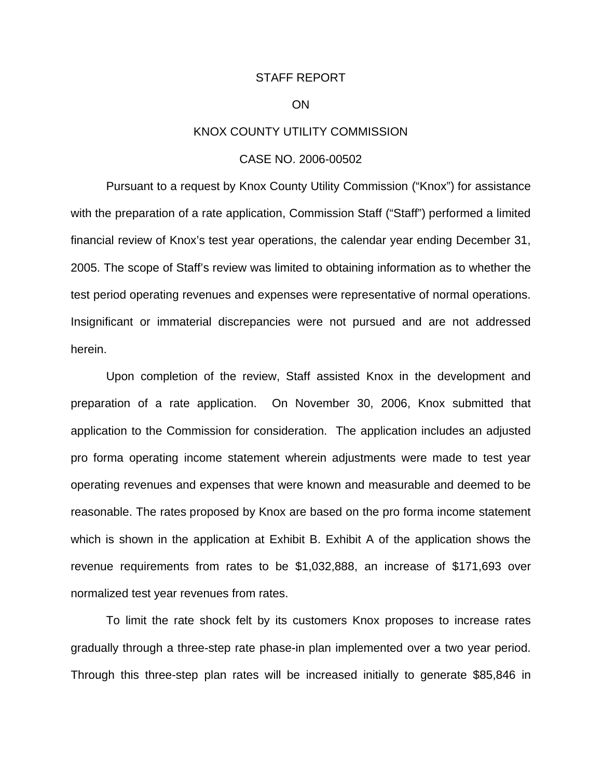#### STAFF REPORT

#### ON

#### KNOX COUNTY UTILITY COMMISSION

#### CASE NO. 2006-00502

Pursuant to a request by Knox County Utility Commission ("Knox") for assistance with the preparation of a rate application, Commission Staff ("Staff") performed a limited financial review of Knox's test year operations, the calendar year ending December 31, 2005. The scope of Staff's review was limited to obtaining information as to whether the test period operating revenues and expenses were representative of normal operations. Insignificant or immaterial discrepancies were not pursued and are not addressed herein.

Upon completion of the review, Staff assisted Knox in the development and preparation of a rate application. On November 30, 2006, Knox submitted that application to the Commission for consideration. The application includes an adjusted pro forma operating income statement wherein adjustments were made to test year operating revenues and expenses that were known and measurable and deemed to be reasonable. The rates proposed by Knox are based on the pro forma income statement which is shown in the application at Exhibit B. Exhibit A of the application shows the revenue requirements from rates to be \$1,032,888, an increase of \$171,693 over normalized test year revenues from rates.

To limit the rate shock felt by its customers Knox proposes to increase rates gradually through a three-step rate phase-in plan implemented over a two year period. Through this three-step plan rates will be increased initially to generate \$85,846 in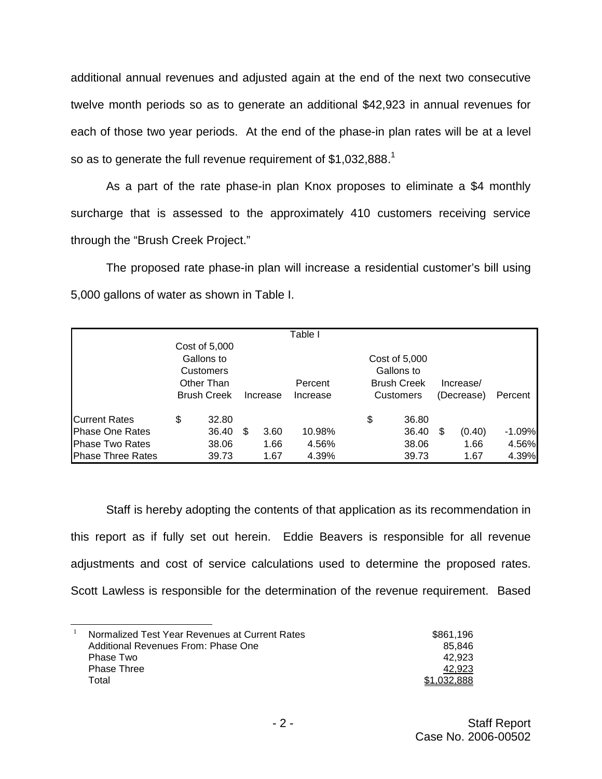additional annual revenues and adjusted again at the end of the next two consecutive twelve month periods so as to generate an additional \$42,923 in annual revenues for each of those two year periods. At the end of the phase-in plan rates will be at a level so as to generate the full revenue requirement of  $$1,032,888$ <sup>1</sup>

As a part of the rate phase-in plan Knox proposes to eliminate a \$4 monthly surcharge that is assessed to the approximately 410 customers receiving service through the "Brush Creek Project."

The proposed rate phase-in plan will increase a residential customer's bill using 5,000 gallons of water as shown in Table I.

|                           |                                  |               |          |      | Table I                     |    |                    |       |            |        |          |
|---------------------------|----------------------------------|---------------|----------|------|-----------------------------|----|--------------------|-------|------------|--------|----------|
|                           |                                  | Cost of 5,000 |          |      |                             |    |                    |       |            |        |          |
|                           | Gallons to<br><b>Customers</b>   |               |          |      | Cost of 5,000<br>Gallons to |    |                    |       |            |        |          |
|                           |                                  |               |          |      |                             |    |                    |       |            |        |          |
|                           | Other Than<br><b>Brush Creek</b> |               |          |      | Percent                     |    | <b>Brush Creek</b> |       | Increase/  |        |          |
|                           |                                  |               | Increase |      | Increase                    |    | Customers          |       | (Decrease) |        | Percent  |
| <b>Current Rates</b>      | \$                               | 32.80         |          |      |                             | \$ |                    | 36.80 |            |        |          |
| <b>Phase One Rates</b>    |                                  | 36.40         | S        | 3.60 | 10.98%                      |    |                    | 36.40 | S          | (0.40) | $-1.09%$ |
| <b>Phase Two Rates</b>    |                                  | 38.06         |          | 1.66 | 4.56%                       |    |                    | 38.06 |            | 1.66   | 4.56%    |
| <b>IPhase Three Rates</b> |                                  | 39.73         |          | 1.67 | 4.39%                       |    |                    | 39.73 |            | 1.67   | 4.39%    |

Staff is hereby adopting the contents of that application as its recommendation in this report as if fully set out herein. Eddie Beavers is responsible for all revenue adjustments and cost of service calculations used to determine the proposed rates. Scott Lawless is responsible for the determination of the revenue requirement. Based

| Normalized Test Year Revenues at Current Rates | \$861.196   |
|------------------------------------------------|-------------|
| Additional Revenues From: Phase One            | 85.846      |
| Phase Two                                      | 42.923      |
| Phase Three                                    | 42.923      |
| Total                                          | \$1.032.888 |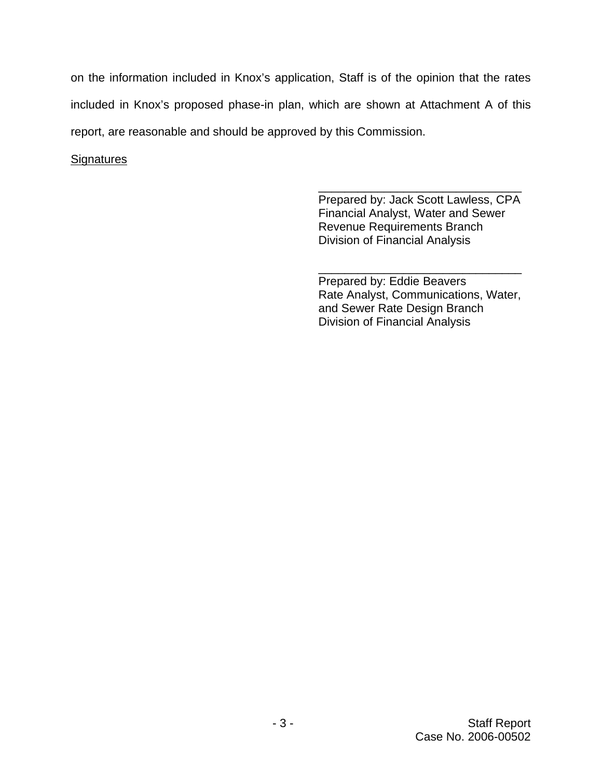on the information included in Knox's application, Staff is of the opinion that the rates included in Knox's proposed phase-in plan, which are shown at Attachment A of this report, are reasonable and should be approved by this Commission.

## **Signatures**

\_\_\_\_\_\_\_\_\_\_\_\_\_\_\_\_\_\_\_\_\_\_\_\_\_\_\_\_\_\_\_ Prepared by: Jack Scott Lawless, CPA Financial Analyst, Water and Sewer Revenue Requirements Branch Division of Financial Analysis

\_\_\_\_\_\_\_\_\_\_\_\_\_\_\_\_\_\_\_\_\_\_\_\_\_\_\_\_\_\_\_ Prepared by: Eddie Beavers Rate Analyst, Communications, Water, and Sewer Rate Design Branch Division of Financial Analysis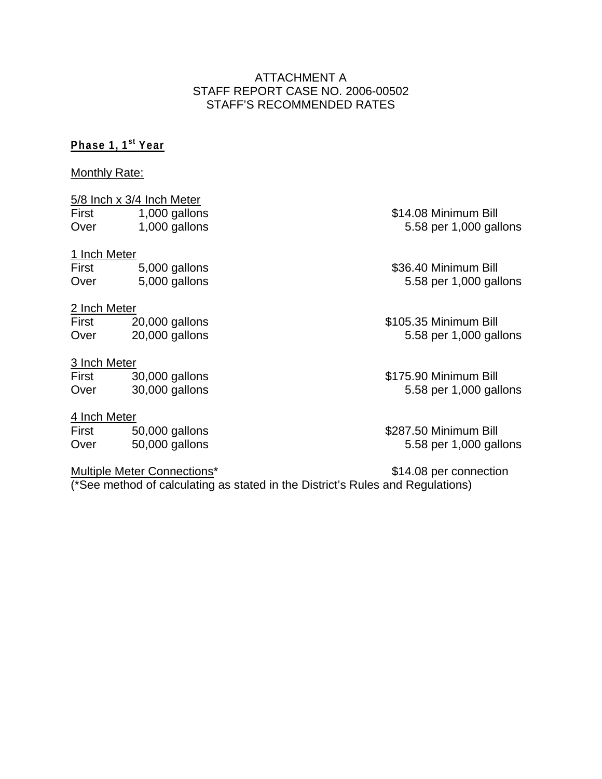## ATTACHMENT A STAFF REPORT CASE NO. 2006-00502 STAFF'S RECOMMENDED RATES

# **Phase 1, 1st Year**

#### Monthly Rate:

5/8 Inch x 3/4 Inch Meter<br>First 1,000 gallons First 1,000 gallons \$14.08 Minimum Bill Over 1,000 gallons 5.58 per 1,000 gallons

## 1 Inch Meter

## First 5,000 gallons \$36.40 Minimum Bill<br>Over 5,000 gallons 5.58 per 1,000 gallons Over 5,000 gallons 5.58 per 1,000 gallons

2 Inch Meter<br>First 20,000 gallons First 20,000 gallons \$105.35 Minimum Bill Over 20,000 gallons 5.58 per 1,000 gallons

#### 3 Inch Meter

First 30,000 gallons \$175.90 Minimum Bill Over 30,000 gallons 5.58 per 1,000 gallons

## 4 Inch Meter

First 50,000 gallons \$287.50 Minimum Bill Over 50,000 gallons 5.58 per 1,000 gallons

## Multiple Meter Connections\* button was a \$14.08 per connection

(\*See method of calculating as stated in the District's Rules and Regulations)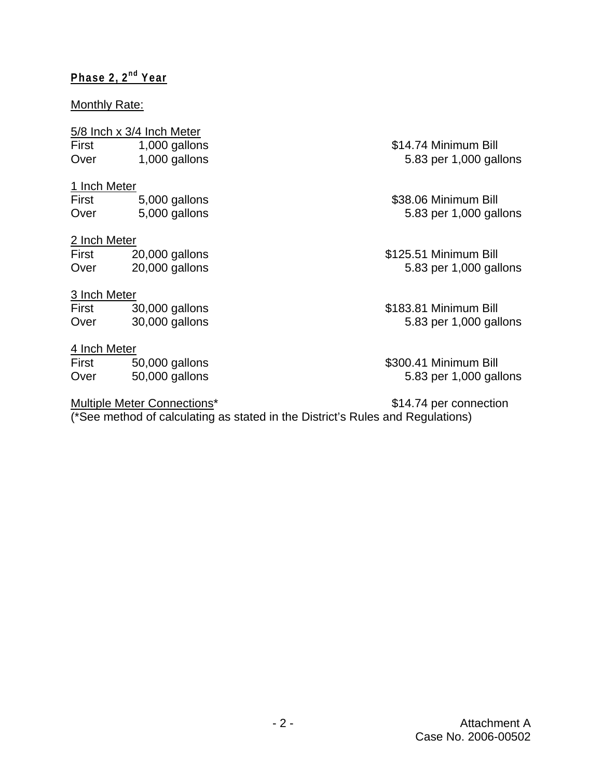# **Phase 2, 2nd Year**

## Monthly Rate:

# 5/8 Inch x 3/4 Inch Meter

| <b>First</b> | 1,000 gallons |
|--------------|---------------|
| Over         | 1,000 gallons |

1 Inch Meter

First 5,000 gallons \$38.06 Minimum Bill Over 5,000 gallons 5.83 per 1,000 gallons

# 2 Inch Meter

| First | 20,000 gallons |
|-------|----------------|
| Over  | 20,000 gallons |

# 3 Inch Meter

First 30,000 gallons \$183.81 Minimum Bill<br>Over 30,000 gallons 5.83 per 1,000 gal Over 30,000 gallons 5.83 per 1,000 gallons

# 4 Inch Meter

First 50,000 gallons \$300.41 Minimum Bill<br>Over 50,000 gallons 5.83 per 1,000 gallons Over 50,000 gallons 5.83 per 1,000 gallons

# Multiple Meter Connections\* by the state of the state of \$14.74 per connection

\$14.74 Minimum Bill 5.83 per 1,000 gallons

\$125.51 Minimum Bill 5.83 per 1,000 gallons

(\*See method of calculating as stated in the District's Rules and Regulations)